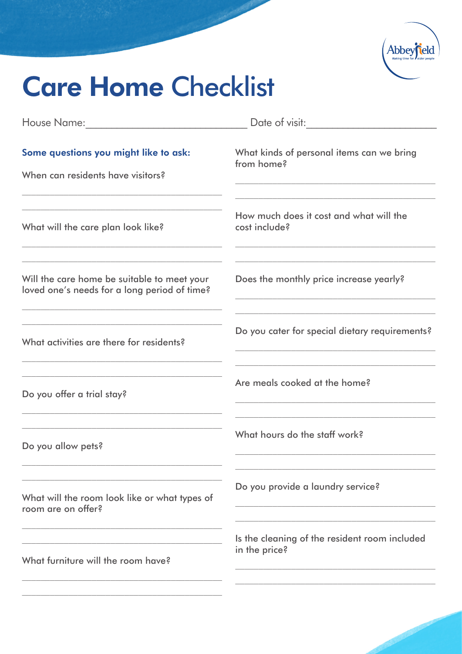

## **Care Home Checklist**

|                                                                                             | Date of visit:                                                                                                                                                                                                                                                                                                                                                                                          |
|---------------------------------------------------------------------------------------------|---------------------------------------------------------------------------------------------------------------------------------------------------------------------------------------------------------------------------------------------------------------------------------------------------------------------------------------------------------------------------------------------------------|
| Some questions you might like to ask:<br>When can residents have visitors?                  | What kinds of personal items can we bring<br>from home?<br><u> 1989 - Johann Stein, marwolaethau a bhann an t-Amhain an t-Amhain an t-Amhain an t-Amhain an t-Amhain an t-A</u>                                                                                                                                                                                                                         |
| What will the care plan look like?                                                          | How much does it cost and what will the<br>cost include?                                                                                                                                                                                                                                                                                                                                                |
| Will the care home be suitable to meet your<br>loved one's needs for a long period of time? | Does the monthly price increase yearly?                                                                                                                                                                                                                                                                                                                                                                 |
| What activities are there for residents?                                                    | <u> 1989 - Johann Stein, mars an deutscher Stein und der Stein und der Stein und der Stein und der Stein und der</u><br>Do you cater for special dietary requirements?<br>the control of the control of the control of the control of the control of the control of the control of the control of the control of the control of the control of the control of the control of the control of the control |
| Do you offer a trial stay?                                                                  | Are meals cooked at the home?                                                                                                                                                                                                                                                                                                                                                                           |
| Do you allow pets?                                                                          | What hours do the staff work?                                                                                                                                                                                                                                                                                                                                                                           |
| What will the room look like or what types of<br>room are on offer?                         | Do you provide a laundry service?                                                                                                                                                                                                                                                                                                                                                                       |
| What furniture will the room have?                                                          | Is the cleaning of the resident room included<br>in the price?                                                                                                                                                                                                                                                                                                                                          |
|                                                                                             |                                                                                                                                                                                                                                                                                                                                                                                                         |